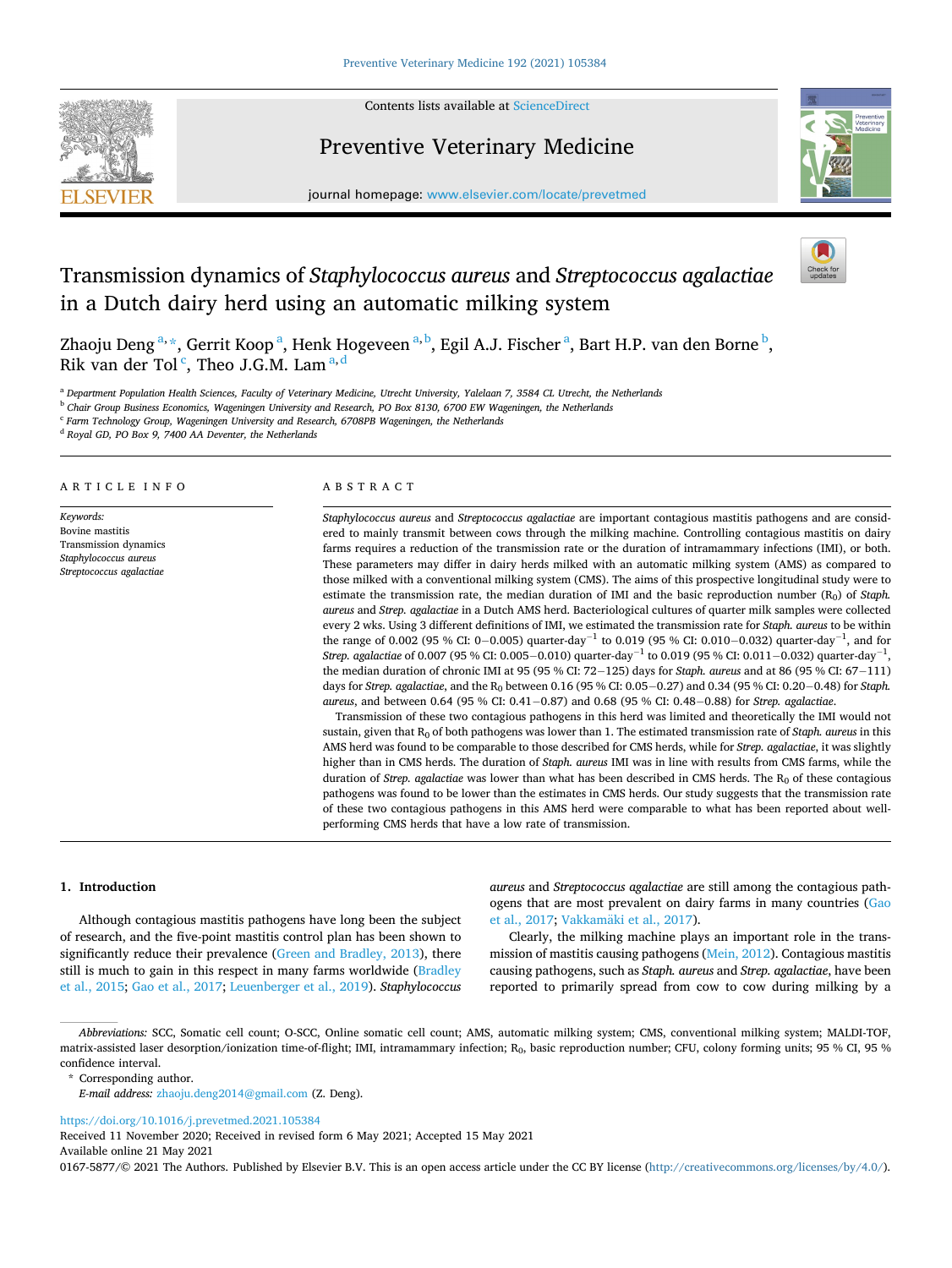

Contents lists available at [ScienceDirect](www.sciencedirect.com/science/journal/01675877)

# Preventive Veterinary Medicine



journal homepage: [www.elsevier.com/locate/prevetmed](https://www.elsevier.com/locate/prevetmed) 

# Transmission dynamics of *Staphylococcus aureus* and *Streptococcus agalactiae*  in a Dutch dairy herd using an automatic milking system



Zhaoju Deng <sup>a, \*</sup>, Gerrit Koop <sup>a</sup>, Henk Hogeveen <sup>a, b</sup>, Egil A.J. Fischer <sup>a</sup>, Bart H.P. van den Borne <sup>b</sup>, Rik van der Tol<sup>c</sup>, Theo J.G.M. Lam<sup>a,d</sup>

<sup>a</sup> *Department Population Health Sciences, Faculty of Veterinary Medicine, Utrecht University, Yalelaan 7, 3584 CL Utrecht, the Netherlands* 

<sup>b</sup> *Chair Group Business Economics, Wageningen University and Research, PO Box 8130, 6700 EW Wageningen, the Netherlands* 

<sup>c</sup> *Farm Technology Group, Wageningen University and Research, 6708PB Wageningen, the Netherlands* 

<sup>d</sup> *Royal GD, PO Box 9, 7400 AA Deventer, the Netherlands* 

# ARTICLE INFO

*Keywords:*  Bovine mastitis Transmission dynamics *Staphylococcus aureus Streptococcus agalactiae* 

# ABSTRACT

*Staphylococcus aureus* and *Streptococcus agalactiae* are important contagious mastitis pathogens and are considered to mainly transmit between cows through the milking machine. Controlling contagious mastitis on dairy farms requires a reduction of the transmission rate or the duration of intramammary infections (IMI), or both. These parameters may differ in dairy herds milked with an automatic milking system (AMS) as compared to those milked with a conventional milking system (CMS). The aims of this prospective longitudinal study were to estimate the transmission rate, the median duration of IMI and the basic reproduction number (R<sub>0</sub>) of *Staph*. *aureus* and *Strep. agalactiae* in a Dutch AMS herd. Bacteriological cultures of quarter milk samples were collected every 2 wks. Using 3 different definitions of IMI, we estimated the transmission rate for *Staph. aureus* to be within the range of 0.002 (95 % CI: 0–0.005) quarter-day<sup>-1</sup> to 0.019 (95 % CI: 0.010–0.032) quarter-day<sup>-1</sup>, and for *Strep. agalactiae* of 0.007 (95 % CI: 0.005−0.010) quarter-day<sup>−1</sup> to 0.019 (95 % CI: 0.011−0.032) quarter-day<sup>−1</sup>, the median duration of chronic IMI at 95 (95 % CI: 72− 125) days for *Staph. aureus* and at 86 (95 % CI: 67− 111) days for *Strep. agalactiae*, and the R<sub>0</sub> between 0.16 (95 % CI: 0.05–0.27) and 0.34 (95 % CI: 0.20–0.48) for *Staph. aureus*, and between 0.64 (95 % CI: 0.41− 0.87) and 0.68 (95 % CI: 0.48− 0.88) for *Strep. agalactiae*.

Transmission of these two contagious pathogens in this herd was limited and theoretically the IMI would not sustain, given that R<sub>0</sub> of both pathogens was lower than 1. The estimated transmission rate of *Staph. aureus* in this AMS herd was found to be comparable to those described for CMS herds, while for *Strep. agalactiae*, it was slightly higher than in CMS herds. The duration of *Staph. aureus* IMI was in line with results from CMS farms, while the duration of *Strep. agalactiae* was lower than what has been described in CMS herds. The R<sub>0</sub> of these contagious pathogens was found to be lower than the estimates in CMS herds. Our study suggests that the transmission rate of these two contagious pathogens in this AMS herd were comparable to what has been reported about wellperforming CMS herds that have a low rate of transmission.

## **1. Introduction**

Although contagious mastitis pathogens have long been the subject of research, and the five-point mastitis control plan has been shown to significantly reduce their prevalence [\(Green and Bradley, 2013\)](#page-6-0), there still is much to gain in this respect in many farms worldwide (Bradley [et al., 2015;](#page-6-0) [Gao et al., 2017](#page-6-0); [Leuenberger et al., 2019\)](#page-6-0). *Staphylococcus*  *aureus* and *Streptococcus agalactiae* are still among the contagious pathogens that are most prevalent on dairy farms in many countries ([Gao](#page-6-0)  [et al., 2017;](#page-6-0) Vakkamäki et al., 2017).

Clearly, the milking machine plays an important role in the transmission of mastitis causing pathogens [\(Mein, 2012](#page-6-0)). Contagious mastitis causing pathogens, such as *Staph. aureus* and *Strep. agalactiae*, have been reported to primarily spread from cow to cow during milking by a

<https://doi.org/10.1016/j.prevetmed.2021.105384>

Available online 21 May 2021 Received 11 November 2020; Received in revised form 6 May 2021; Accepted 15 May 2021

0167-5877/© 2021 The Authors. Published by Elsevier B.V. This is an open access article under the CC BY license [\(http://creativecommons.org/licenses/by/4.0/\)](http://creativecommons.org/licenses/by/4.0/).

*Abbreviations:* SCC, Somatic cell count; O-SCC, Online somatic cell count; AMS, automatic milking system; CMS, conventional milking system; MALDI-TOF, matrix-assisted laser desorption/ionization time-of-flight; IMI, intramammary infection;  $R_0$ , basic reproduction number; CFU, colony forming units; 95 % CI, 95 % confidence interval.

<sup>\*</sup> Corresponding author.

*E-mail address:* [zhaoju.deng2014@gmail.com](mailto:zhaoju.deng2014@gmail.com) (Z. Deng).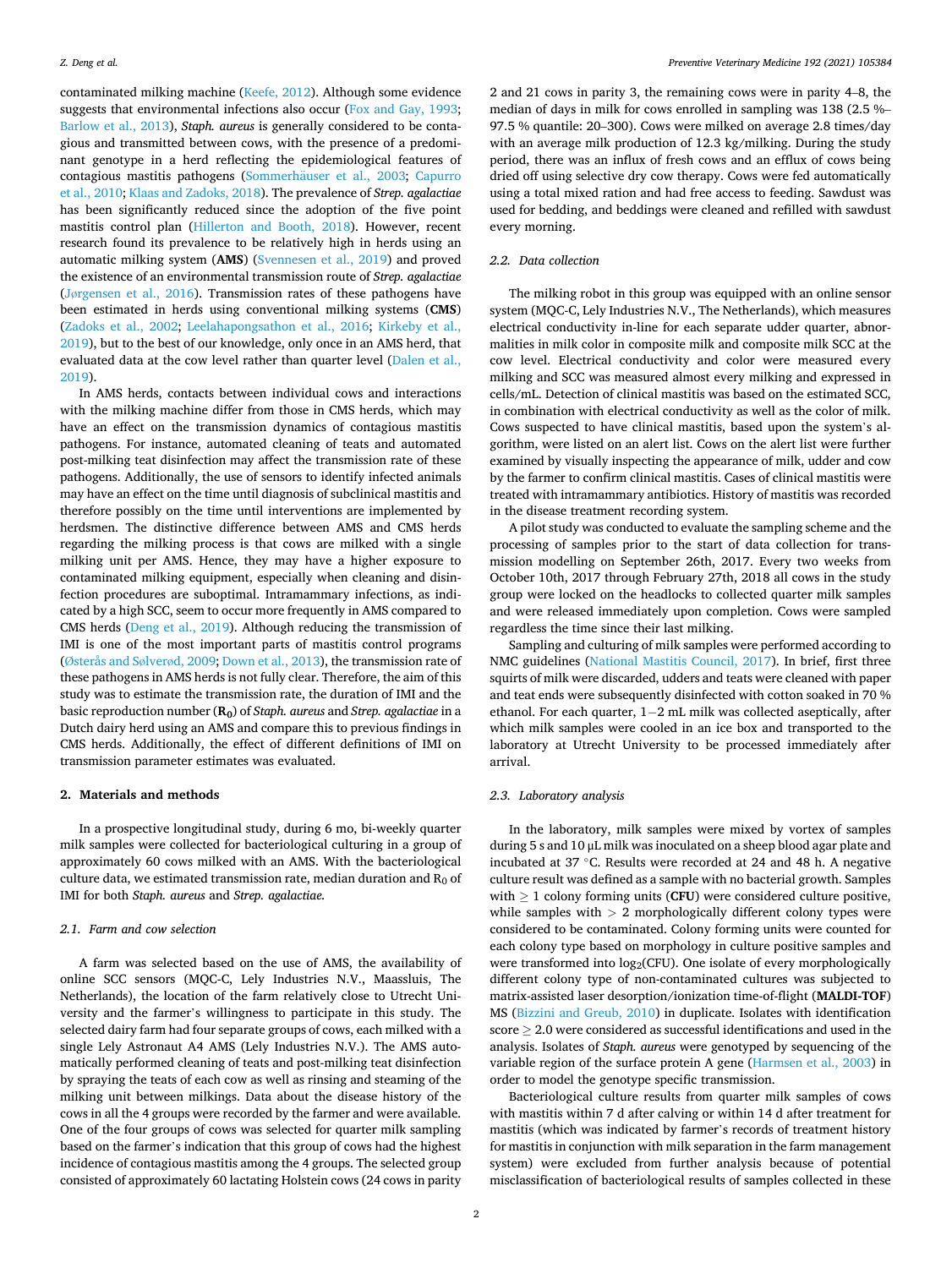contaminated milking machine ([Keefe, 2012\)](#page-6-0). Although some evidence suggests that environmental infections also occur ([Fox and Gay, 1993](#page-6-0); [Barlow et al., 2013\)](#page-6-0), *Staph. aureus* is generally considered to be contagious and transmitted between cows, with the presence of a predominant genotype in a herd reflecting the epidemiological features of contagious mastitis pathogens (Sommerhäuser et al., 2003; Capurro [et al., 2010; Klaas and Zadoks, 2018](#page-6-0)). The prevalence of *Strep. agalactiae*  has been significantly reduced since the adoption of the five point mastitis control plan [\(Hillerton and Booth, 2018](#page-6-0)). However, recent research found its prevalence to be relatively high in herds using an automatic milking system (**AMS**) [\(Svennesen et al., 2019](#page-6-0)) and proved the existence of an environmental transmission route of *Strep. agalactiae*  (Jø[rgensen et al., 2016\)](#page-6-0). Transmission rates of these pathogens have been estimated in herds using conventional milking systems (**CMS**) ([Zadoks et al., 2002](#page-6-0); [Leelahapongsathon et al., 2016](#page-6-0); [Kirkeby et al.,](#page-6-0)  [2019\)](#page-6-0), but to the best of our knowledge, only once in an AMS herd, that evaluated data at the cow level rather than quarter level [\(Dalen et al.,](#page-6-0)  [2019\)](#page-6-0).

In AMS herds, contacts between individual cows and interactions with the milking machine differ from those in CMS herds, which may have an effect on the transmission dynamics of contagious mastitis pathogens. For instance, automated cleaning of teats and automated post-milking teat disinfection may affect the transmission rate of these pathogens. Additionally, the use of sensors to identify infected animals may have an effect on the time until diagnosis of subclinical mastitis and therefore possibly on the time until interventions are implemented by herdsmen. The distinctive difference between AMS and CMS herds regarding the milking process is that cows are milked with a single milking unit per AMS. Hence, they may have a higher exposure to contaminated milking equipment, especially when cleaning and disinfection procedures are suboptimal. Intramammary infections, as indicated by a high SCC, seem to occur more frequently in AMS compared to CMS herds ([Deng et al., 2019](#page-6-0)). Although reducing the transmission of IMI is one of the most important parts of mastitis control programs (Ø[sterås and S](#page-6-0)ølverød, 2009; [Down et al., 2013](#page-6-0)), the transmission rate of these pathogens in AMS herds is not fully clear. Therefore, the aim of this study was to estimate the transmission rate, the duration of IMI and the basic reproduction number (**R0**) of *Staph. aureus* and *Strep. agalactiae* in a Dutch dairy herd using an AMS and compare this to previous findings in CMS herds. Additionally, the effect of different definitions of IMI on transmission parameter estimates was evaluated.

## **2. Materials and methods**

In a prospective longitudinal study, during 6 mo, bi-weekly quarter milk samples were collected for bacteriological culturing in a group of approximately 60 cows milked with an AMS. With the bacteriological culture data, we estimated transmission rate, median duration and  $R_0$  of IMI for both *Staph. aureus* and *Strep. agalactiae.* 

# *2.1. Farm and cow selection*

A farm was selected based on the use of AMS, the availability of online SCC sensors (MQC-C, Lely Industries N.V., Maassluis, The Netherlands), the location of the farm relatively close to Utrecht University and the farmer's willingness to participate in this study. The selected dairy farm had four separate groups of cows, each milked with a single Lely Astronaut A4 AMS (Lely Industries N.V.). The AMS automatically performed cleaning of teats and post-milking teat disinfection by spraying the teats of each cow as well as rinsing and steaming of the milking unit between milkings. Data about the disease history of the cows in all the 4 groups were recorded by the farmer and were available. One of the four groups of cows was selected for quarter milk sampling based on the farmer's indication that this group of cows had the highest incidence of contagious mastitis among the 4 groups. The selected group consisted of approximately 60 lactating Holstein cows (24 cows in parity

2 and 21 cows in parity 3, the remaining cows were in parity 4–8, the median of days in milk for cows enrolled in sampling was 138 (2.5 %– 97.5 % quantile: 20–300). Cows were milked on average 2.8 times/day with an average milk production of 12.3 kg/milking. During the study period, there was an influx of fresh cows and an efflux of cows being dried off using selective dry cow therapy. Cows were fed automatically using a total mixed ration and had free access to feeding. Sawdust was used for bedding, and beddings were cleaned and refilled with sawdust every morning.

# *2.2. Data collection*

The milking robot in this group was equipped with an online sensor system (MQC-C, Lely Industries N.V., The Netherlands), which measures electrical conductivity in-line for each separate udder quarter, abnormalities in milk color in composite milk and composite milk SCC at the cow level. Electrical conductivity and color were measured every milking and SCC was measured almost every milking and expressed in cells/mL. Detection of clinical mastitis was based on the estimated SCC, in combination with electrical conductivity as well as the color of milk. Cows suspected to have clinical mastitis, based upon the system's algorithm, were listed on an alert list. Cows on the alert list were further examined by visually inspecting the appearance of milk, udder and cow by the farmer to confirm clinical mastitis. Cases of clinical mastitis were treated with intramammary antibiotics. History of mastitis was recorded in the disease treatment recording system.

A pilot study was conducted to evaluate the sampling scheme and the processing of samples prior to the start of data collection for transmission modelling on September 26th, 2017. Every two weeks from October 10th, 2017 through February 27th, 2018 all cows in the study group were locked on the headlocks to collected quarter milk samples and were released immediately upon completion. Cows were sampled regardless the time since their last milking.

Sampling and culturing of milk samples were performed according to NMC guidelines [\(National Mastitis Council, 2017\)](#page-6-0). In brief, first three squirts of milk were discarded, udders and teats were cleaned with paper and teat ends were subsequently disinfected with cotton soaked in 70 % ethanol. For each quarter, 1–2 mL milk was collected aseptically, after which milk samples were cooled in an ice box and transported to the laboratory at Utrecht University to be processed immediately after arrival.

### *2.3. Laboratory analysis*

In the laboratory, milk samples were mixed by vortex of samples during 5 s and 10 μL milk was inoculated on a sheep blood agar plate and incubated at 37 ◦C. Results were recorded at 24 and 48 h. A negative culture result was defined as a sample with no bacterial growth. Samples with  $> 1$  colony forming units (**CFU**) were considered culture positive, while samples with *>* 2 morphologically different colony types were considered to be contaminated. Colony forming units were counted for each colony type based on morphology in culture positive samples and were transformed into  $log_2(CFU)$ . One isolate of every morphologically different colony type of non-contaminated cultures was subjected to matrix-assisted laser desorption/ionization time-of-flight (**MALDI-TOF**) MS [\(Bizzini and Greub, 2010](#page-6-0)) in duplicate. Isolates with identification score  $\geq 2.0$  were considered as successful identifications and used in the analysis. Isolates of *Staph. aureus* were genotyped by sequencing of the variable region of the surface protein A gene ([Harmsen et al., 2003](#page-6-0)) in order to model the genotype specific transmission.

Bacteriological culture results from quarter milk samples of cows with mastitis within 7 d after calving or within 14 d after treatment for mastitis (which was indicated by farmer's records of treatment history for mastitis in conjunction with milk separation in the farm management system) were excluded from further analysis because of potential misclassification of bacteriological results of samples collected in these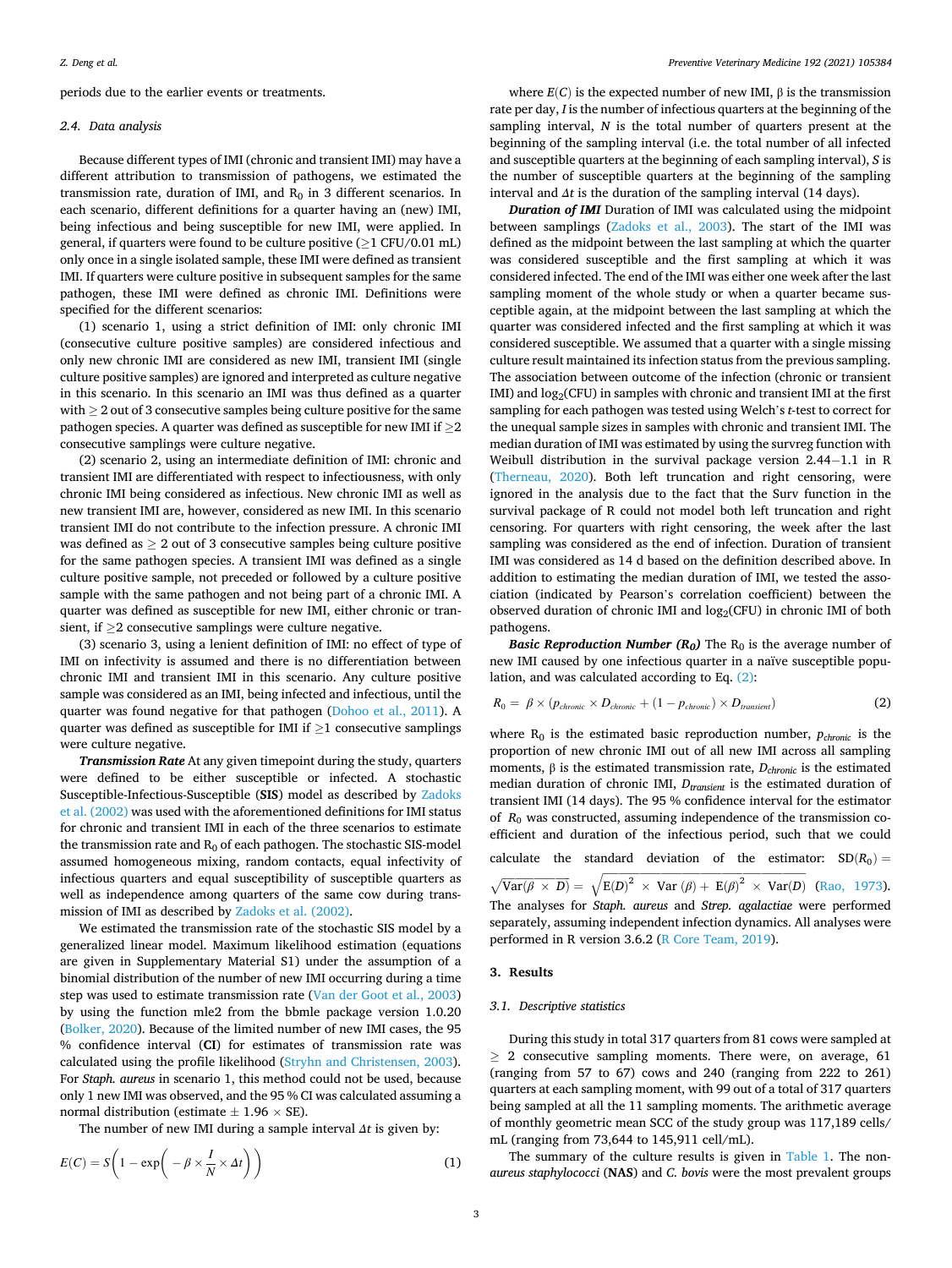periods due to the earlier events or treatments.

# *2.4. Data analysis*

Because different types of IMI (chronic and transient IMI) may have a different attribution to transmission of pathogens, we estimated the transmission rate, duration of IMI, and  $R_0$  in 3 different scenarios. In each scenario, different definitions for a quarter having an (new) IMI, being infectious and being susceptible for new IMI, were applied. In general, if quarters were found to be culture positive  $(\geq 1 \text{ CFU}/0.01 \text{ mL})$ only once in a single isolated sample, these IMI were defined as transient IMI. If quarters were culture positive in subsequent samples for the same pathogen, these IMI were defined as chronic IMI. Definitions were specified for the different scenarios:

(1) scenario 1, using a strict definition of IMI: only chronic IMI (consecutive culture positive samples) are considered infectious and only new chronic IMI are considered as new IMI, transient IMI (single culture positive samples) are ignored and interpreted as culture negative in this scenario. In this scenario an IMI was thus defined as a quarter with ≥ 2 out of 3 consecutive samples being culture positive for the same pathogen species. A quarter was defined as susceptible for new IMI if  $>2$ consecutive samplings were culture negative.

(2) scenario 2, using an intermediate definition of IMI: chronic and transient IMI are differentiated with respect to infectiousness, with only chronic IMI being considered as infectious. New chronic IMI as well as new transient IMI are, however, considered as new IMI. In this scenario transient IMI do not contribute to the infection pressure. A chronic IMI was defined as  $\geq 2$  out of 3 consecutive samples being culture positive for the same pathogen species. A transient IMI was defined as a single culture positive sample, not preceded or followed by a culture positive sample with the same pathogen and not being part of a chronic IMI. A quarter was defined as susceptible for new IMI, either chronic or transient, if ≥2 consecutive samplings were culture negative.

(3) scenario 3, using a lenient definition of IMI: no effect of type of IMI on infectivity is assumed and there is no differentiation between chronic IMI and transient IMI in this scenario. Any culture positive sample was considered as an IMI, being infected and infectious, until the quarter was found negative for that pathogen ([Dohoo et al., 2011](#page-6-0)). A quarter was defined as susceptible for IMI if  $\geq$ 1 consecutive samplings were culture negative.

*Transmission Rate* At any given timepoint during the study, quarters were defined to be either susceptible or infected. A stochastic Susceptible-Infectious-Susceptible (**SIS**) model as described by [Zadoks](#page-6-0)  [et al. \(2002\)](#page-6-0) was used with the aforementioned definitions for IMI status for chronic and transient IMI in each of the three scenarios to estimate the transmission rate and  $R_0$  of each pathogen. The stochastic SIS-model assumed homogeneous mixing, random contacts, equal infectivity of infectious quarters and equal susceptibility of susceptible quarters as well as independence among quarters of the same cow during transmission of IMI as described by [Zadoks et al. \(2002\).](#page-6-0)

We estimated the transmission rate of the stochastic SIS model by a generalized linear model. Maximum likelihood estimation (equations are given in Supplementary Material S1) under the assumption of a binomial distribution of the number of new IMI occurring during a time step was used to estimate transmission rate ([Van der Goot et al., 2003\)](#page-6-0) by using the function mle2 from the bbmle package version 1.0.20 ([Bolker, 2020\)](#page-6-0). Because of the limited number of new IMI cases, the 95 % confidence interval (**CI**) for estimates of transmission rate was calculated using the profile likelihood [\(Stryhn and Christensen, 2003](#page-6-0)). For *Staph. aureus* in scenario 1, this method could not be used, because only 1 new IMI was observed, and the 95 % CI was calculated assuming a normal distribution (estimate  $\pm$  1.96  $\times$  SE).

The number of new IMI during a sample interval *Δt* is given by:

$$
E(C) = S\left(1 - \exp\left(-\beta \times \frac{I}{N} \times \Delta t\right)\right) \tag{1}
$$

where  $E(C)$  is the expected number of new IMI,  $\beta$  is the transmission rate per day, *I* is the number of infectious quarters at the beginning of the sampling interval, *N* is the total number of quarters present at the beginning of the sampling interval (i.e. the total number of all infected and susceptible quarters at the beginning of each sampling interval), *S* is the number of susceptible quarters at the beginning of the sampling interval and *Δt* is the duration of the sampling interval (14 days).

*Duration of IMI* Duration of IMI was calculated using the midpoint between samplings ([Zadoks et al., 2003](#page-6-0)). The start of the IMI was defined as the midpoint between the last sampling at which the quarter was considered susceptible and the first sampling at which it was considered infected. The end of the IMI was either one week after the last sampling moment of the whole study or when a quarter became susceptible again, at the midpoint between the last sampling at which the quarter was considered infected and the first sampling at which it was considered susceptible. We assumed that a quarter with a single missing culture result maintained its infection status from the previous sampling. The association between outcome of the infection (chronic or transient IMI) and  $log_2(CFU)$  in samples with chronic and transient IMI at the first sampling for each pathogen was tested using Welch's *t*-test to correct for the unequal sample sizes in samples with chronic and transient IMI. The median duration of IMI was estimated by using the survreg function with Weibull distribution in the survival package version 2.44−1.1 in R ([Therneau, 2020](#page-6-0)). Both left truncation and right censoring, were ignored in the analysis due to the fact that the Surv function in the survival package of R could not model both left truncation and right censoring. For quarters with right censoring, the week after the last sampling was considered as the end of infection. Duration of transient IMI was considered as 14 d based on the definition described above. In addition to estimating the median duration of IMI, we tested the association (indicated by Pearson's correlation coefficient) between the observed duration of chronic IMI and  $log_2(CFU)$  in chronic IMI of both pathogens.

*Basic Reproduction Number (* $R_0$ *)* The  $R_0$  is the average number of new IMI caused by one infectious quarter in a naïve susceptible population, and was calculated according to Eq. (2):

$$
R_0 = \beta \times (p_{chromic} \times D_{chromic} + (1 - p_{chromic}) \times D_{transient})
$$
 (2)

where  $R_0$  is the estimated basic reproduction number,  $p_{chromic}$  is the proportion of new chronic IMI out of all new IMI across all sampling moments,  $β$  is the estimated transmission rate,  $D_{chromic}$  is the estimated median duration of chronic IMI, *D*<sub>transient</sub> is the estimated duration of transient IMI (14 days). The 95 % confidence interval for the estimator of *R*0 was constructed, assuming independence of the transmission coefficient and duration of the infectious period, such that we could calculate the standard deviation of the estimator:  $SD(R_0)$  =  $\sqrt{\text{Var}(\beta \times D)} = \sqrt{\text{E}(D)^2 \times \text{Var}(\beta) + \text{E}(\beta)^2 \times \text{Var}(D)}$  $\mathbf{E}(D)^2 \times \text{Var}(\beta) + \mathbf{E}(\beta)^2 \times \text{Var}(D)$ √ [\(Rao, 1973](#page-6-0)). The analyses for *Staph. aureus* and *Strep. agalactiae* were performed separately, assuming independent infection dynamics. All analyses were

performed in R version 3.6.2 ([R Core Team, 2019](#page-6-0)).

#### **3. Results**

## *3.1. Descriptive statistics*

During this study in total 317 quarters from 81 cows were sampled at ≥ 2 consecutive sampling moments. There were, on average, 61 (ranging from 57 to 67) cows and 240 (ranging from 222 to 261) quarters at each sampling moment, with 99 out of a total of 317 quarters being sampled at all the 11 sampling moments. The arithmetic average of monthly geometric mean SCC of the study group was 117,189 cells/ mL (ranging from 73,644 to 145,911 cell/mL).

The summary of the culture results is given in [Table 1.](#page-3-0) The non*aureus staphylococci* (**NAS**) and *C. bovis* were the most prevalent groups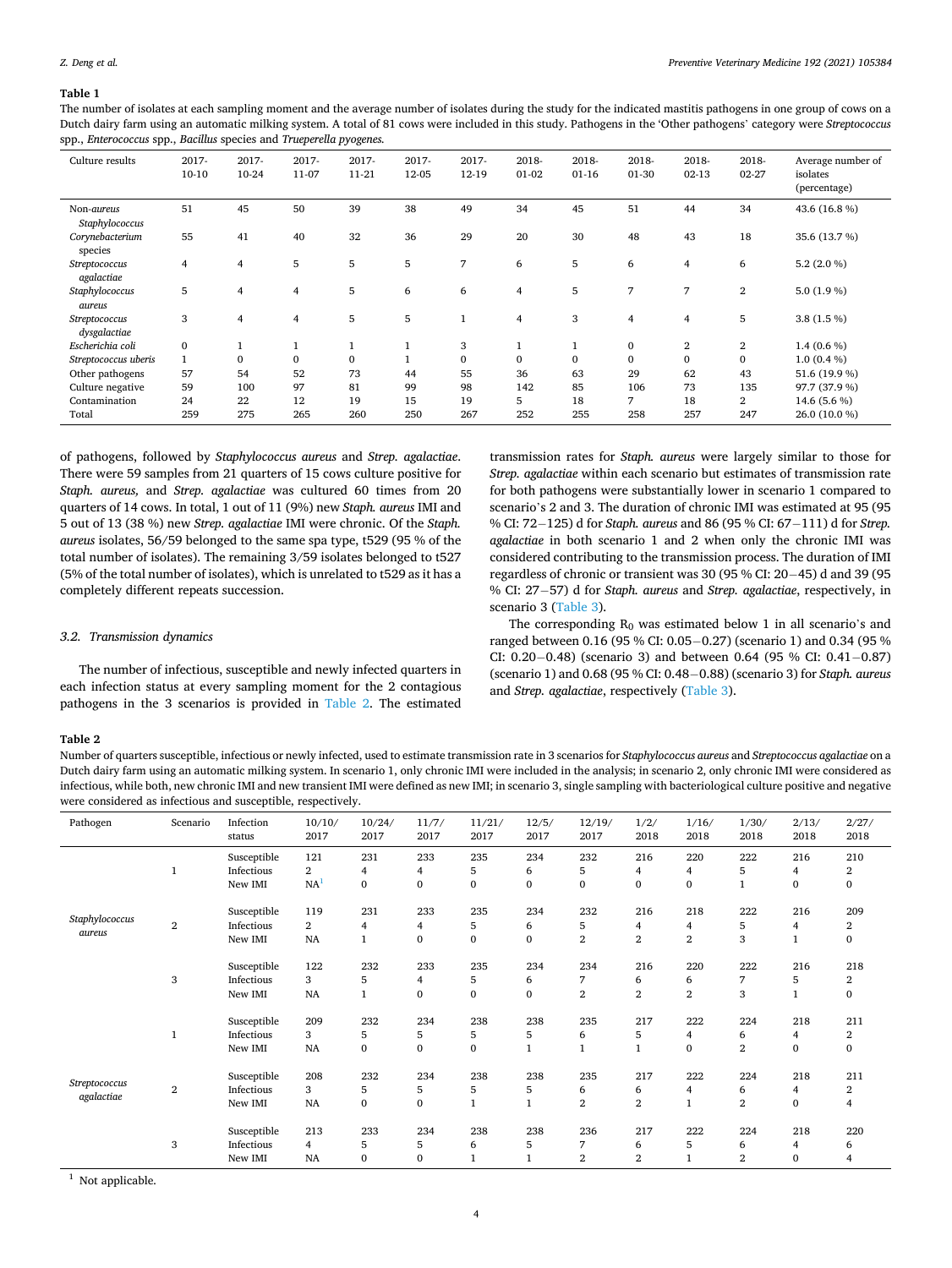## <span id="page-3-0"></span>**Table 1**

The number of isolates at each sampling moment and the average number of isolates during the study for the indicated mastitis pathogens in one group of cows on a Dutch dairy farm using an automatic milking system. A total of 81 cows were included in this study. Pathogens in the 'Other pathogens' category were *Streptococcus*  spp., *Enterococcus* spp., *Bacillus* species and *Trueperella pyogenes.* 

| Culture results               | 2017-<br>$10-10$ | 2017-<br>10-24 | 2017-<br>11-07 | 2017-<br>11-21 | 2017-<br>12-05 | 2017-<br>12-19 | 2018-<br>$01-02$ | 2018-<br>$01-16$ | 2018-<br>01-30 | 2018-<br>$02 - 13$ | 2018-<br>$02 - 27$ | Average number of<br>isolates<br>(percentage) |
|-------------------------------|------------------|----------------|----------------|----------------|----------------|----------------|------------------|------------------|----------------|--------------------|--------------------|-----------------------------------------------|
| Non-aureus<br>Staphylococcus  | 51               | 45             | 50             | 39             | 38             | 49             | 34               | 45               | 51             | 44                 | 34                 | 43.6 (16.8 %)                                 |
| Corynebacterium<br>species    | 55               | 41             | 40             | 32             | 36             | 29             | 20               | 30               | 48             | 43                 | 18                 | 35.6 (13.7 %)                                 |
| Streptococcus<br>agalactiae   | $\overline{4}$   | $\overline{4}$ | 5              | 5              | 5              | 7              | 6                | 5                | 6              | 4                  | 6                  | 5.2 $(2.0 %)$                                 |
| Staphylococcus<br>aureus      | 5                | 4              | 4              | 5              | 6              | 6              | 4                | 5                | 7              | $\overline{7}$     | $\overline{2}$     | 5.0 $(1.9\%)$                                 |
| Streptococcus<br>dysgalactiae | 3                | 4              | $\overline{4}$ | 5              | 5              | $\mathbf{1}$   | 4                | 3                | 4              | 4                  | 5                  | 3.8(1.5%)                                     |
| Escherichia coli              | $\mathbf{0}$     |                |                | 1              | $\mathbf{1}$   | 3              |                  | $\mathbf{I}$     | $\mathbf{0}$   | $\boldsymbol{2}$   | $\overline{2}$     | 1.4 $(0.6 %)$                                 |
| Streptococcus uberis          | $\mathbf{1}$     | $\mathbf{0}$   | $\Omega$       | $\mathbf{0}$   | 1              | $\mathbf{0}$   | $\Omega$         | $\mathbf{0}$     | $\Omega$       | $\mathbf{0}$       | $\Omega$           | $1.0(0.4\%)$                                  |
| Other pathogens               | 57               | 54             | 52             | 73             | 44             | 55             | 36               | 63               | 29             | 62                 | 43                 | 51.6 (19.9 %)                                 |
| Culture negative              | 59               | 100            | 97             | 81             | 99             | 98             | 142              | 85               | 106            | 73                 | 135                | 97.7 (37.9 %)                                 |
| Contamination                 | 24               | 22             | 12             | 19             | 15             | 19             | 5                | 18               | 7              | 18                 | $\overline{2}$     | 14.6 (5.6 %)                                  |
| Total                         | 259              | 275            | 265            | 260            | 250            | 267            | 252              | 255              | 258            | 257                | 247                | 26.0 (10.0 %)                                 |

of pathogens, followed by *Staphylococcus aureus* and *Strep. agalactiae*. There were 59 samples from 21 quarters of 15 cows culture positive for *Staph. aureus,* and *Strep. agalactiae* was cultured 60 times from 20 quarters of 14 cows. In total, 1 out of 11 (9%) new *Staph. aureus* IMI and 5 out of 13 (38 %) new *Strep. agalactiae* IMI were chronic. Of the *Staph. aureus* isolates, 56/59 belonged to the same spa type, t529 (95 % of the total number of isolates). The remaining 3/59 isolates belonged to t527 (5% of the total number of isolates), which is unrelated to t529 as it has a completely different repeats succession.

transmission rates for *Staph. aureus* were largely similar to those for *Strep. agalactiae* within each scenario but estimates of transmission rate for both pathogens were substantially lower in scenario 1 compared to scenario's 2 and 3. The duration of chronic IMI was estimated at 95 (95 % CI: 72− 125) d for *Staph. aureus* and 86 (95 % CI: 67− 111) d for *Strep. agalactiae* in both scenario 1 and 2 when only the chronic IMI was considered contributing to the transmission process. The duration of IMI regardless of chronic or transient was 30 (95 % CI: 20− 45) d and 39 (95 % CI: 27− 57) d for *Staph. aureus* and *Strep. agalactiae*, respectively, in scenario 3 [\(Table 3\)](#page-4-0).

# *3.2. Transmission dynamics*

The number of infectious, susceptible and newly infected quarters in each infection status at every sampling moment for the 2 contagious pathogens in the 3 scenarios is provided in Table 2. The estimated

The corresponding  $R_0$  was estimated below 1 in all scenario's and ranged between 0.16 (95 % CI: 0.05− 0.27) (scenario 1) and 0.34 (95 % CI: 0.20–0.48) (scenario 3) and between 0.64 (95 % CI: 0.41–0.87) (scenario 1) and 0.68 (95 % CI: 0.48− 0.88) (scenario 3) for *Staph. aureus*  and *Strep. agalactiae*, respectively [\(Table 3\)](#page-4-0).

#### **Table 2**

Number of quarters susceptible, infectious or newly infected, used to estimate transmission rate in 3 scenarios for *Staphylococcus aureus* and *Streptococcus agalactiae* on a Dutch dairy farm using an automatic milking system. In scenario 1, only chronic IMI were included in the analysis; in scenario 2, only chronic IMI were considered as infectious, while both, new chronic IMI and new transient IMI were defined as new IMI; in scenario 3, single sampling with bacteriological culture positive and negative were considered as infectious and susceptible, respectively.

| Pathogen                    | Scenario     | Infection<br>status                  | 10/10/<br>2017                     | 10/24/<br>2017           | 11/7/<br>2017        | 11/21/<br>2017           | 12/5/<br>2017            | 12/19/<br>2017               | 1/2/<br>2018                            | 1/16/<br>2018              | 1/30/<br>2018                | 2/13/<br>2018            | 2/27/<br>2018            |
|-----------------------------|--------------|--------------------------------------|------------------------------------|--------------------------|----------------------|--------------------------|--------------------------|------------------------------|-----------------------------------------|----------------------------|------------------------------|--------------------------|--------------------------|
| Staphylococcus<br>aureus    | $\mathbf{1}$ | Susceptible<br>Infectious<br>New IMI | 121<br>2<br>NA <sup>1</sup>        | 231<br>4<br>$\bf{0}$     | 233<br>4<br>$\bf{0}$ | 235<br>5<br>$\bf{0}$     | 234<br>6<br>0            | 232<br>5<br>$\bf{0}$         | 216<br>4<br>$\bf{0}$                    | 220<br>4<br>0              | 222<br>5<br>1                | 216<br>4<br>$\bf{0}$     | 210<br>2<br>$\bf{0}$     |
|                             | $\,2\,$      | Susceptible<br>Infectious<br>New IMI | 119<br>$\overline{2}$<br><b>NA</b> | 231<br>4<br>$\mathbf{1}$ | 233<br>4<br>$\bf{0}$ | 235<br>5<br>$\mathbf{0}$ | 234<br>6<br>$\bf{0}$     | 232<br>5<br>$\overline{2}$   | 216<br>$\overline{4}$<br>$\overline{2}$ | 218<br>4<br>$\mathbf{2}$   | 222<br>5<br>3                | 216<br>4<br>$\mathbf{1}$ | 209<br>2<br>$\bf{0}$     |
|                             | $\,$ 3 $\,$  | Susceptible<br>Infectious<br>New IMI | 122<br>3<br>NA                     | 232<br>5                 | 233<br>4<br>$\bf{0}$ | 235<br>5<br>$\mathbf{0}$ | 234<br>6<br>$\mathbf{0}$ | 234<br>7<br>$\overline{2}$   | 216<br>6<br>$\overline{2}$              | 220<br>6<br>$\overline{2}$ | 222<br>7<br>3                | 216<br>5<br>$\mathbf{1}$ | 218<br>2<br>$\mathbf{0}$ |
| Streptococcus<br>agalactiae | 1            | Susceptible<br>Infectious<br>New IMI | 209<br>3<br>NA                     | 232<br>5<br>$\bf{0}$     | 234<br>5<br>$\bf{0}$ | 238<br>5<br>$\mathbf{0}$ | 238<br>5<br>$\mathbf{1}$ | 235<br>6                     | 217<br>5<br>$\mathbf{1}$                | 222<br>4<br>$\mathbf{0}$   | 224<br>6<br>$\boldsymbol{2}$ | 218<br>4<br>$\bf{0}$     | 211<br>2<br>$\bf{0}$     |
|                             | $\mathbf{2}$ | Susceptible<br>Infectious<br>New IMI | 208<br>3<br>NA                     | 232<br>5<br>$\mathbf{0}$ | 234<br>5<br>$\bf{0}$ | 238<br>5                 | 238<br>5<br>$\mathbf 1$  | 235<br>6<br>$\boldsymbol{2}$ | 217<br>6<br>$\overline{2}$              | 222<br>4<br>$\mathbf{1}$   | 224<br>6<br>$\overline{2}$   | 218<br>4<br>$\bf{0}$     | 211<br>2<br>4            |
|                             | 3            | Susceptible<br>Infectious<br>New IMI | 213<br>4<br>NA                     | 233<br>5<br>$\mathbf{0}$ | 234<br>5<br>$\bf{0}$ | 238<br>6                 | 238<br>5<br>$\mathbf{1}$ | 236<br>7<br>$\boldsymbol{2}$ | 217<br>6<br>$\overline{2}$              | 222<br>5<br>$\mathbf{1}$   | 224<br>6<br>$\overline{2}$   | 218<br>4<br>$\bf{0}$     | 220<br>6<br>4            |

 $<sup>1</sup>$  Not applicable.</sup>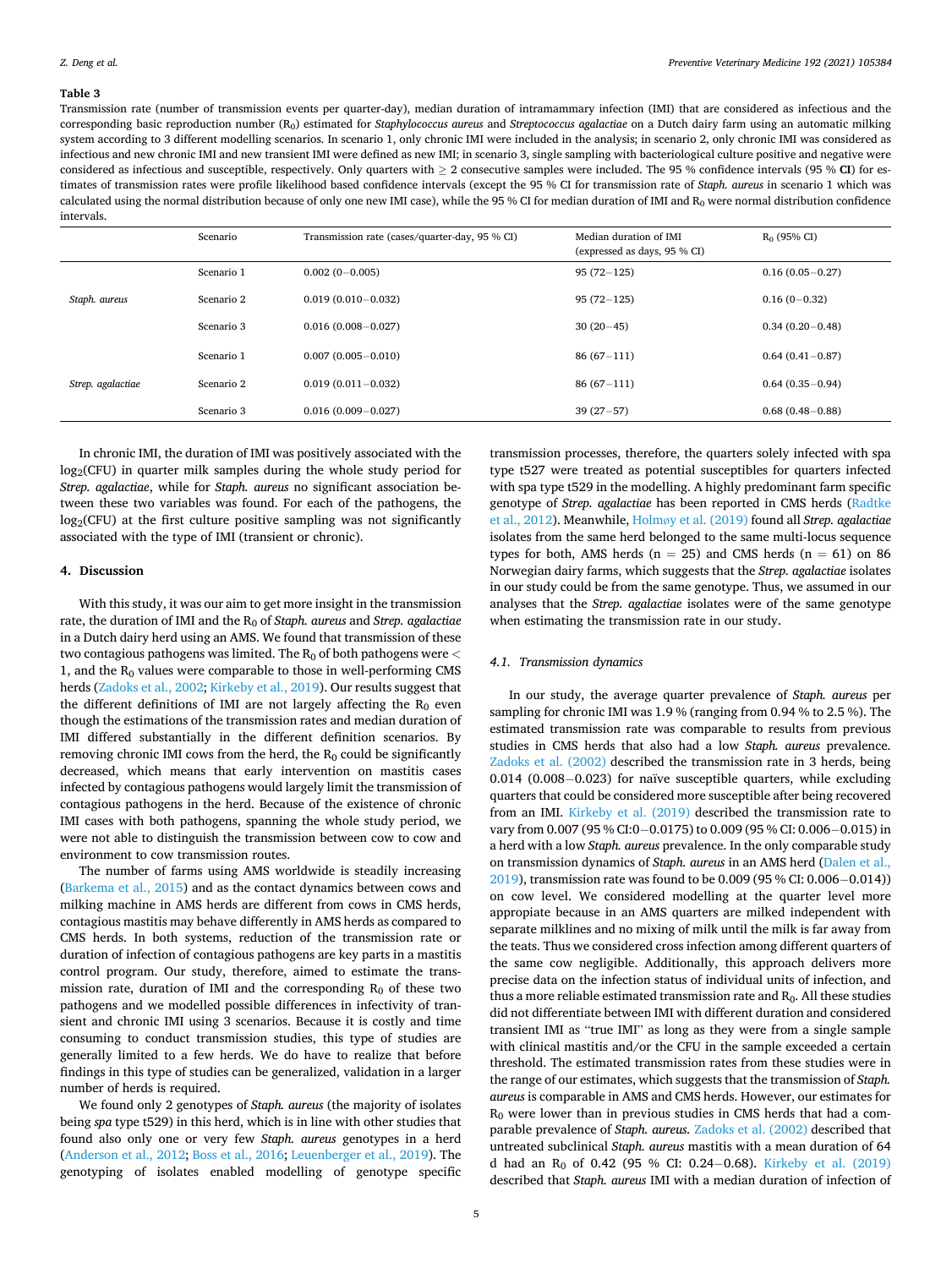## <span id="page-4-0"></span>**Table 3**

Transmission rate (number of transmission events per quarter-day), median duration of intramammary infection (IMI) that are considered as infectious and the corresponding basic reproduction number (R0) estimated for *Staphylococcus aureus* and *Streptococcus agalactiae* on a Dutch dairy farm using an automatic milking system according to 3 different modelling scenarios. In scenario 1, only chronic IMI were included in the analysis; in scenario 2, only chronic IMI was considered as infectious and new chronic IMI and new transient IMI were defined as new IMI; in scenario 3, single sampling with bacteriological culture positive and negative were considered as infectious and susceptible, respectively. Only quarters with ≥ 2 consecutive samples were included. The 95 % confidence intervals (95 % **CI**) for estimates of transmission rates were profile likelihood based confidence intervals (except the 95 % CI for transmission rate of *Staph. aureus* in scenario 1 which was calculated using the normal distribution because of only one new IMI case), while the 95 % CI for median duration of IMI and  $R_0$  were normal distribution confidence intervals.

|                   | Scenario   | Transmission rate (cases/quarter-day, 95 % CI) | Median duration of IMI<br>(expressed as days, 95 % CI) | $R_0$ (95% CI)      |
|-------------------|------------|------------------------------------------------|--------------------------------------------------------|---------------------|
| Staph. aureus     | Scenario 1 | $0.002(0-0.005)$                               | $95(72 - 125)$                                         | $0.16(0.05 - 0.27)$ |
|                   | Scenario 2 | $0.019(0.010 - 0.032)$                         | $95(72 - 125)$                                         | $0.16(0-0.32)$      |
|                   | Scenario 3 | $0.016(0.008 - 0.027)$                         | $30(20-45)$                                            | $0.34(0.20 - 0.48)$ |
| Strep. agalactiae | Scenario 1 | $0.007(0.005 - 0.010)$                         | $86(67-111)$                                           | $0.64(0.41 - 0.87)$ |
|                   | Scenario 2 | $0.019(0.011 - 0.032)$                         | $86(67-111)$                                           | $0.64(0.35-0.94)$   |
|                   | Scenario 3 | $0.016(0.009 - 0.027)$                         | $39(27-57)$                                            | $0.68(0.48 - 0.88)$ |

In chronic IMI, the duration of IMI was positively associated with the  $log_2(CFU)$  in quarter milk samples during the whole study period for *Strep. agalactiae*, while for *Staph. aureus* no significant association between these two variables was found. For each of the pathogens, the  $log_2(CFU)$  at the first culture positive sampling was not significantly associated with the type of IMI (transient or chronic).

# **4. Discussion**

With this study, it was our aim to get more insight in the transmission rate, the duration of IMI and the R<sub>0</sub> of *Staph. aureus* and *Strep. agalactiae* in a Dutch dairy herd using an AMS. We found that transmission of these two contagious pathogens was limited. The R<sub>0</sub> of both pathogens were  $<$ 1, and the  $R_0$  values were comparable to those in well-performing CMS herds ([Zadoks et al., 2002](#page-6-0); [Kirkeby et al., 2019\)](#page-6-0). Our results suggest that the different definitions of IMI are not largely affecting the  $R_0$  even though the estimations of the transmission rates and median duration of IMI differed substantially in the different definition scenarios. By removing chronic IMI cows from the herd, the  $R_0$  could be significantly decreased, which means that early intervention on mastitis cases infected by contagious pathogens would largely limit the transmission of contagious pathogens in the herd. Because of the existence of chronic IMI cases with both pathogens, spanning the whole study period, we were not able to distinguish the transmission between cow to cow and environment to cow transmission routes.

The number of farms using AMS worldwide is steadily increasing ([Barkema et al., 2015\)](#page-6-0) and as the contact dynamics between cows and milking machine in AMS herds are different from cows in CMS herds, contagious mastitis may behave differently in AMS herds as compared to CMS herds. In both systems, reduction of the transmission rate or duration of infection of contagious pathogens are key parts in a mastitis control program. Our study, therefore, aimed to estimate the transmission rate, duration of IMI and the corresponding  $R_0$  of these two pathogens and we modelled possible differences in infectivity of transient and chronic IMI using 3 scenarios. Because it is costly and time consuming to conduct transmission studies, this type of studies are generally limited to a few herds. We do have to realize that before findings in this type of studies can be generalized, validation in a larger number of herds is required.

We found only 2 genotypes of *Staph. aureus* (the majority of isolates being *spa* type t529) in this herd, which is in line with other studies that found also only one or very few *Staph. aureus* genotypes in a herd ([Anderson et al., 2012](#page-6-0); [Boss et al., 2016; Leuenberger et al., 2019](#page-6-0)). The genotyping of isolates enabled modelling of genotype specific transmission processes, therefore, the quarters solely infected with spa type t527 were treated as potential susceptibles for quarters infected with spa type t529 in the modelling. A highly predominant farm specific genotype of *Strep. agalactiae* has been reported in CMS herds [\(Radtke](#page-6-0)  [et al., 2012\)](#page-6-0). Meanwhile, Holmø[y et al. \(2019\)](#page-6-0) found all *Strep. agalactiae*  isolates from the same herd belonged to the same multi-locus sequence types for both, AMS herds ( $n = 25$ ) and CMS herds ( $n = 61$ ) on 86 Norwegian dairy farms, which suggests that the *Strep. agalactiae* isolates in our study could be from the same genotype. Thus, we assumed in our analyses that the *Strep. agalactiae* isolates were of the same genotype when estimating the transmission rate in our study.

## *4.1. Transmission dynamics*

In our study, the average quarter prevalence of *Staph. aureus* per sampling for chronic IMI was 1.9 % (ranging from 0.94 % to 2.5 %). The estimated transmission rate was comparable to results from previous studies in CMS herds that also had a low *Staph. aureus* prevalence. [Zadoks et al. \(2002\)](#page-6-0) described the transmission rate in 3 herds, being 0.014 (0.008− 0.023) for naïve susceptible quarters, while excluding quarters that could be considered more susceptible after being recovered from an IMI. [Kirkeby et al. \(2019\)](#page-6-0) described the transmission rate to vary from 0.007 (95 % CI:0− 0.0175) to 0.009 (95 % CI: 0.006− 0.015) in a herd with a low *Staph. aureus* prevalence. In the only comparable study on transmission dynamics of *Staph. aureus* in an AMS herd ([Dalen et al.,](#page-6-0)  [2019\)](#page-6-0), transmission rate was found to be 0.009 (95 % CI: 0.006− 0.014)) on cow level. We considered modelling at the quarter level more appropiate because in an AMS quarters are milked independent with separate milklines and no mixing of milk until the milk is far away from the teats. Thus we considered cross infection among different quarters of the same cow negligible. Additionally, this approach delivers more precise data on the infection status of individual units of infection, and thus a more reliable estimated transmission rate and R<sub>0</sub>. All these studies did not differentiate between IMI with different duration and considered transient IMI as "true IMI" as long as they were from a single sample with clinical mastitis and/or the CFU in the sample exceeded a certain threshold. The estimated transmission rates from these studies were in the range of our estimates, which suggests that the transmission of *Staph. aureus* is comparable in AMS and CMS herds. However, our estimates for R0 were lower than in previous studies in CMS herds that had a comparable prevalence of *Staph. aureus.* [Zadoks et al. \(2002\)](#page-6-0) described that untreated subclinical *Staph. aureus* mastitis with a mean duration of 64 d had an  $R_0$  of 0.42 (95 % CI: 0.24–0.68). Kirkeby et al. (2019) described that *Staph. aureus* IMI with a median duration of infection of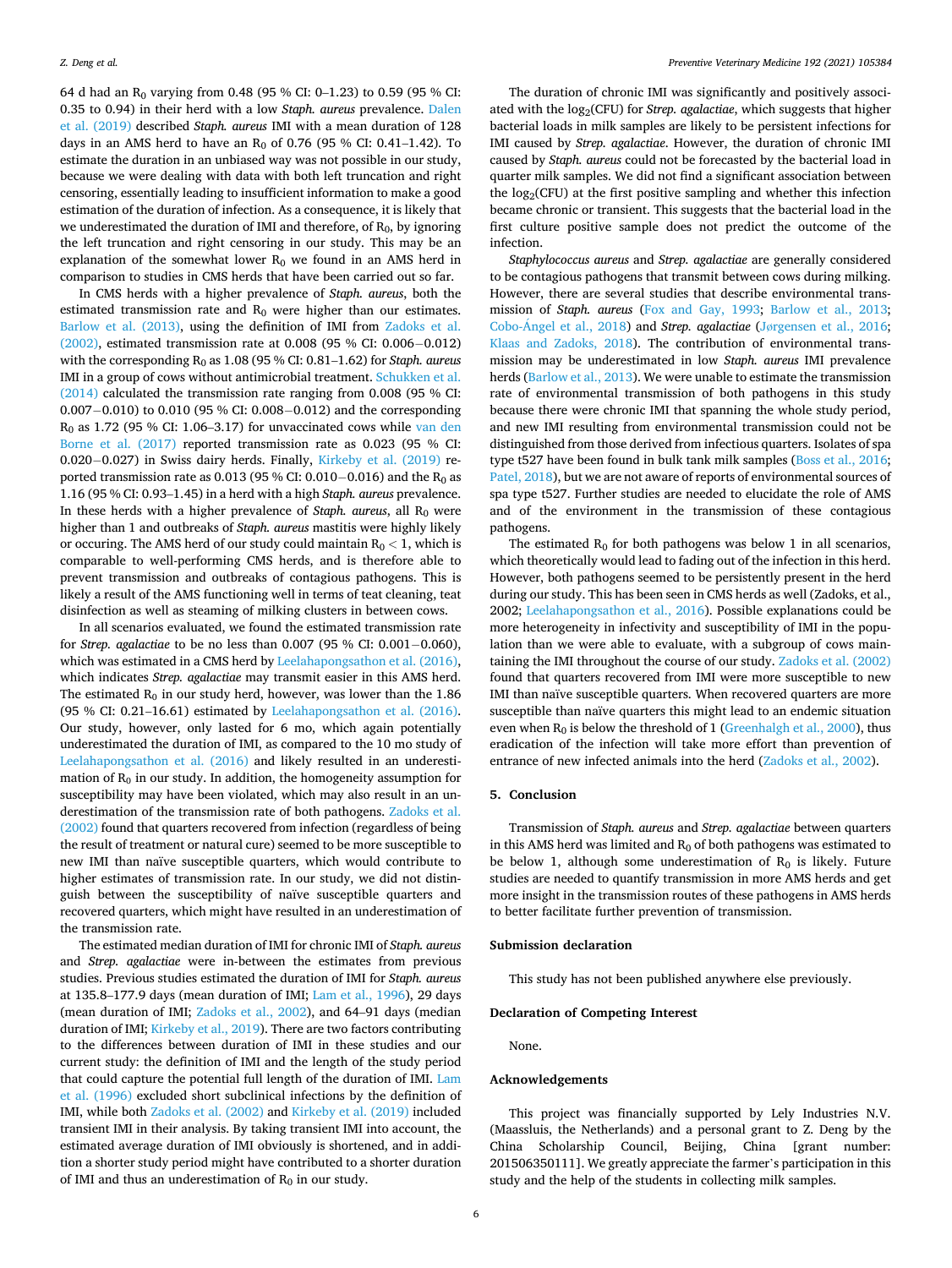64 d had an  $R_0$  varying from 0.48 (95 % CI: 0–1.23) to 0.59 (95 % CI: 0.35 to 0.94) in their herd with a low *Staph. aureus* prevalence. [Dalen](#page-6-0)  [et al. \(2019\)](#page-6-0) described *Staph. aureus* IMI with a mean duration of 128 days in an AMS herd to have an  $R_0$  of 0.76 (95 % CI: 0.41–1.42). To estimate the duration in an unbiased way was not possible in our study, because we were dealing with data with both left truncation and right censoring, essentially leading to insufficient information to make a good estimation of the duration of infection. As a consequence, it is likely that we underestimated the duration of IMI and therefore, of  $R_0$ , by ignoring the left truncation and right censoring in our study. This may be an explanation of the somewhat lower  $R_0$  we found in an AMS herd in comparison to studies in CMS herds that have been carried out so far.

In CMS herds with a higher prevalence of *Staph. aureus*, both the estimated transmission rate and  $R_0$  were higher than our estimates. [Barlow et al. \(2013\),](#page-6-0) using the definition of IMI from [Zadoks et al.](#page-6-0)  [\(2002\),](#page-6-0) estimated transmission rate at 0.008 (95 % CI: 0.006− 0.012) with the corresponding R<sub>0</sub> as 1.08 (95 % CI: 0.81–1.62) for *Staph. aureus* IMI in a group of cows without antimicrobial treatment. [Schukken et al.](#page-6-0)  [\(2014\)](#page-6-0) calculated the transmission rate ranging from 0.008 (95 % CI: 0.007− 0.010) to 0.010 (95 % CI: 0.008− 0.012) and the corresponding  $R_0$  as 1.72 (95 % CI: 1.06–3.17) for unvaccinated cows while van den [Borne et al. \(2017\)](#page-6-0) reported transmission rate as 0.023 (95 % CI: 0.020− 0.027) in Swiss dairy herds. Finally, [Kirkeby et al. \(2019\)](#page-6-0) reported transmission rate as  $0.013$  (95 % CI:  $0.010-0.016$ ) and the R<sub>0</sub> as 1.16 (95 % CI: 0.93–1.45) in a herd with a high *Staph. aureus* prevalence. In these herds with a higher prevalence of *Staph. aureus*, all R<sub>0</sub> were higher than 1 and outbreaks of *Staph. aureus* mastitis were highly likely or occuring. The AMS herd of our study could maintain  $R_0 < 1$ , which is comparable to well-performing CMS herds, and is therefore able to prevent transmission and outbreaks of contagious pathogens. This is likely a result of the AMS functioning well in terms of teat cleaning, teat disinfection as well as steaming of milking clusters in between cows.

In all scenarios evaluated, we found the estimated transmission rate for *Strep. agalactiae* to be no less than 0.007 (95 % CI: 0.001− 0.060), which was estimated in a CMS herd by [Leelahapongsathon et al. \(2016\)](#page-6-0), which indicates *Strep. agalactiae* may transmit easier in this AMS herd. The estimated  $R_0$  in our study herd, however, was lower than the 1.86 (95 % CI: 0.21–16.61) estimated by [Leelahapongsathon et al. \(2016\)](#page-6-0). Our study, however, only lasted for 6 mo, which again potentially underestimated the duration of IMI, as compared to the 10 mo study of [Leelahapongsathon et al. \(2016\)](#page-6-0) and likely resulted in an underestimation of  $R_0$  in our study. In addition, the homogeneity assumption for susceptibility may have been violated, which may also result in an underestimation of the transmission rate of both pathogens. [Zadoks et al.](#page-6-0)  [\(2002\)](#page-6-0) found that quarters recovered from infection (regardless of being the result of treatment or natural cure) seemed to be more susceptible to new IMI than naïve susceptible quarters, which would contribute to higher estimates of transmission rate. In our study, we did not distinguish between the susceptibility of naïve susceptible quarters and recovered quarters, which might have resulted in an underestimation of the transmission rate.

The estimated median duration of IMI for chronic IMI of *Staph. aureus*  and *Strep. agalactiae* were in-between the estimates from previous studies. Previous studies estimated the duration of IMI for *Staph. aureus*  at 135.8–177.9 days (mean duration of IMI; [Lam et al., 1996\)](#page-6-0), 29 days (mean duration of IMI; [Zadoks et al., 2002\)](#page-6-0), and 64–91 days (median duration of IMI; [Kirkeby et al., 2019\)](#page-6-0). There are two factors contributing to the differences between duration of IMI in these studies and our current study: the definition of IMI and the length of the study period that could capture the potential full length of the duration of IMI. [Lam](#page-6-0)  [et al. \(1996\)](#page-6-0) excluded short subclinical infections by the definition of IMI, while both [Zadoks et al. \(2002\)](#page-6-0) and [Kirkeby et al. \(2019\)](#page-6-0) included transient IMI in their analysis. By taking transient IMI into account, the estimated average duration of IMI obviously is shortened, and in addition a shorter study period might have contributed to a shorter duration of IMI and thus an underestimation of  $R_0$  in our study.

The duration of chronic IMI was significantly and positively associated with the log<sub>2</sub>(CFU) for *Strep. agalactiae*, which suggests that higher bacterial loads in milk samples are likely to be persistent infections for IMI caused by *Strep. agalactiae*. However, the duration of chronic IMI caused by *Staph. aureus* could not be forecasted by the bacterial load in quarter milk samples. We did not find a significant association between the  $log<sub>2</sub>(CFU)$  at the first positive sampling and whether this infection became chronic or transient. This suggests that the bacterial load in the first culture positive sample does not predict the outcome of the infection.

*Staphylococcus aureus* and *Strep. agalactiae* are generally considered to be contagious pathogens that transmit between cows during milking. However, there are several studies that describe environmental transmission of *Staph. aureus* [\(Fox and Gay, 1993;](#page-6-0) [Barlow et al., 2013](#page-6-0); [Cobo-Angel](#page-6-0) et al., 2018) and *Strep. agalactiae* (Jø[rgensen et al., 2016](#page-6-0); [Klaas and Zadoks, 2018](#page-6-0)). The contribution of environmental transmission may be underestimated in low *Staph. aureus* IMI prevalence herds ([Barlow et al., 2013](#page-6-0)). We were unable to estimate the transmission rate of environmental transmission of both pathogens in this study because there were chronic IMI that spanning the whole study period, and new IMI resulting from environmental transmission could not be distinguished from those derived from infectious quarters. Isolates of spa type t527 have been found in bulk tank milk samples [\(Boss et al., 2016](#page-6-0); [Patel, 2018](#page-6-0)), but we are not aware of reports of environmental sources of spa type t527. Further studies are needed to elucidate the role of AMS and of the environment in the transmission of these contagious pathogens.

The estimated  $R_0$  for both pathogens was below 1 in all scenarios, which theoretically would lead to fading out of the infection in this herd. However, both pathogens seemed to be persistently present in the herd during our study. This has been seen in CMS herds as well (Zadoks, et al., 2002; [Leelahapongsathon et al., 2016\)](#page-6-0). Possible explanations could be more heterogeneity in infectivity and susceptibility of IMI in the population than we were able to evaluate, with a subgroup of cows maintaining the IMI throughout the course of our study. [Zadoks et al. \(2002\)](#page-6-0)  found that quarters recovered from IMI were more susceptible to new IMI than naïve susceptible quarters. When recovered quarters are more susceptible than naïve quarters this might lead to an endemic situation even when  $R_0$  is below the threshold of 1 ([Greenhalgh et al., 2000\)](#page-6-0), thus eradication of the infection will take more effort than prevention of entrance of new infected animals into the herd ([Zadoks et al., 2002](#page-6-0)).

### **5. Conclusion**

Transmission of *Staph. aureus* and *Strep. agalactiae* between quarters in this AMS herd was limited and  $R_0$  of both pathogens was estimated to be below 1, although some underestimation of  $R_0$  is likely. Future studies are needed to quantify transmission in more AMS herds and get more insight in the transmission routes of these pathogens in AMS herds to better facilitate further prevention of transmission.

## **Submission declaration**

This study has not been published anywhere else previously.

# **Declaration of Competing Interest**

None.

### **Acknowledgements**

This project was financially supported by Lely Industries N.V. (Maassluis, the Netherlands) and a personal grant to Z. Deng by the China Scholarship Council, Beijing, China [grant number: 201506350111]. We greatly appreciate the farmer's participation in this study and the help of the students in collecting milk samples.